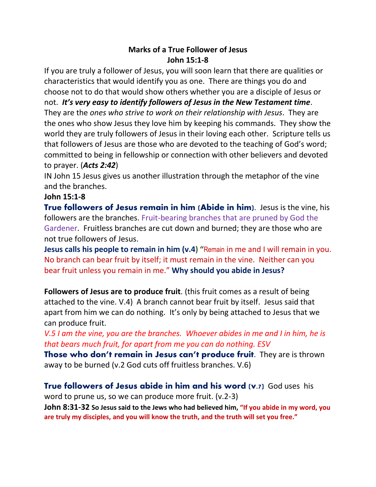## **Marks of a True Follower of Jesus John 15:1-8**

If you are truly a follower of Jesus, you will soon learn that there are qualities or characteristics that would identify you as one. There are things you do and choose not to do that would show others whether you are a disciple of Jesus or not. *It's very easy to identify followers of Jesus in the New Testament time*. They are the *ones who strive to work on their relationship with Jesus*. They are the ones who show Jesus they love him by keeping his commands. They show the world they are truly followers of Jesus in their loving each other. Scripture tells us that followers of Jesus are those who are devoted to the teaching of God's word; committed to being in fellowship or connection with other believers and devoted to prayer. (*Acts 2:42*)

IN John 15 Jesus gives us another illustration through the metaphor of the vine and the branches.

## **John 15:1-8**

**True followers of Jesus remain in him (Abide in him)**. Jesus is the vine, his followers are the branches. Fruit-bearing branches that are pruned by God the Gardener. Fruitless branches are cut down and burned; they are those who are not true followers of Jesus.

**Jesus calls his people to remain in him (v.4) "**Remain in me and I will remain in you. No branch can bear fruit by itself; it must remain in the vine. Neither can you bear fruit unless you remain in me." **Why should you abide in Jesus?**

**Followers of Jesus are to produce fruit**. (this fruit comes as a result of being attached to the vine. V.4) A branch cannot bear fruit by itself. Jesus said that apart from him we can do nothing. It's only by being attached to Jesus that we can produce fruit.

*V.5 I am the vine, you are the branches. Whoever abides in me and I in him, he is that bears much fruit, for apart from me you can do nothing. ESV*

**Those who don't remain in Jesus can't produce fruit.** They are is thrown away to be burned (v.2 God cuts off fruitless branches. V.6)

## **True followers of Jesus abide in him and his word (v.7)** God uses his

word to prune us, so we can produce more fruit. (v.2-3)

**John 8:31-32 So Jesus said to the Jews who had believed him, "If you abide in my word, you are truly my disciples, and you will know the truth, and the truth will set you free."**